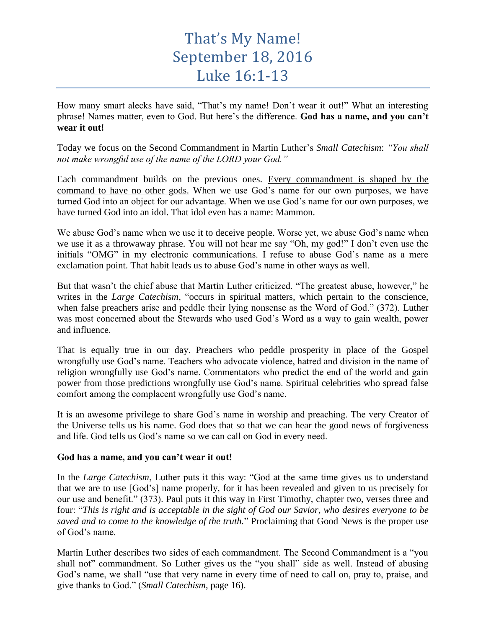## That's My Name! September 18, 2016 Luke 16:1-13

How many smart alecks have said, "That's my name! Don't wear it out!" What an interesting phrase! Names matter, even to God. But here's the difference. **God has a name, and you can't wear it out!**

Today we focus on the Second Commandment in Martin Luther's *Small Catechism*: *"You shall not make wrongful use of the name of the LORD your God."*

Each commandment builds on the previous ones. Every commandment is shaped by the command to have no other gods. When we use God's name for our own purposes, we have turned God into an object for our advantage. When we use God's name for our own purposes, we have turned God into an idol. That idol even has a name: Mammon.

We abuse God's name when we use it to deceive people. Worse yet, we abuse God's name when we use it as a throwaway phrase. You will not hear me say "Oh, my god!" I don't even use the initials "OMG" in my electronic communications. I refuse to abuse God's name as a mere exclamation point. That habit leads us to abuse God's name in other ways as well.

But that wasn't the chief abuse that Martin Luther criticized. "The greatest abuse, however," he writes in the *Large Catechism*, "occurs in spiritual matters, which pertain to the conscience, when false preachers arise and peddle their lying nonsense as the Word of God." (372). Luther was most concerned about the Stewards who used God's Word as a way to gain wealth, power and influence.

That is equally true in our day. Preachers who peddle prosperity in place of the Gospel wrongfully use God's name. Teachers who advocate violence, hatred and division in the name of religion wrongfully use God's name. Commentators who predict the end of the world and gain power from those predictions wrongfully use God's name. Spiritual celebrities who spread false comfort among the complacent wrongfully use God's name.

It is an awesome privilege to share God's name in worship and preaching. The very Creator of the Universe tells us his name. God does that so that we can hear the good news of forgiveness and life. God tells us God's name so we can call on God in every need.

## **God has a name, and you can't wear it out!**

In the *Large Catechism*, Luther puts it this way: "God at the same time gives us to understand that we are to use [God's] name properly, for it has been revealed and given to us precisely for our use and benefit." (373). Paul puts it this way in First Timothy, chapter two, verses three and four: "*This is right and is acceptable in the sight of God our Savior, who desires everyone to be saved and to come to the knowledge of the truth.*" Proclaiming that Good News is the proper use of God's name.

Martin Luther describes two sides of each commandment. The Second Commandment is a "you shall not" commandment. So Luther gives us the "you shall" side as well. Instead of abusing God's name, we shall "use that very name in every time of need to call on, pray to, praise, and give thanks to God." (*Small Catechism*, page 16).